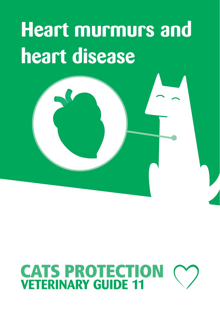## **Heart murmurs and heart disease**

# **CATS PROTECTION**<br>**VETERINARY GUIDE 11**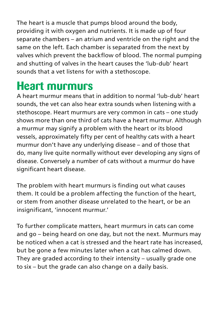The heart is a muscle that pumps blood around the body, providing it with oxygen and nutrients. It is made up of four separate chambers – an atrium and ventricle on the right and the same on the left. Each chamber is separated from the next by valves which prevent the backflow of blood. The normal pumping and shutting of valves in the heart causes the 'lub-dub' heart sounds that a vet listens for with a stethoscope.

## **Heart murmurs**

A heart murmur means that in addition to normal 'lub-dub' heart sounds, the vet can also hear extra sounds when listening with a stethoscope. Heart murmurs are very common in cats – one study shows more than one third of cats have a heart murmur. Although a murmur may signify a problem with the heart or its blood vessels, approximately fifty per cent of healthy cats with a heart murmur don't have any underlying disease – and of those that do, many live quite normally without ever developing any signs of disease. Conversely a number of cats without a murmur do have significant heart disease.

The problem with heart murmurs is finding out what causes them. It could be a problem affecting the function of the heart, or stem from another disease unrelated to the heart, or be an insignificant, 'innocent murmur.'

To further complicate matters, heart murmurs in cats can come and go – being heard on one day, but not the next. Murmurs may be noticed when a cat is stressed and the heart rate has increased, but be gone a few minutes later when a cat has calmed down. They are graded according to their intensity – usually grade one to six – but the grade can also change on a daily basis.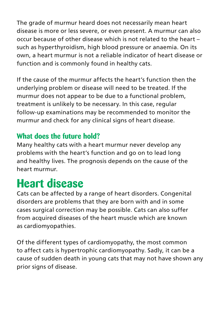The grade of murmur heard does not necessarily mean heart disease is more or less severe, or even present. A murmur can also occur because of other disease which is not related to the heart – such as hyperthyroidism, high blood pressure or anaemia. On its own, a heart murmur is not a reliable indicator of heart disease or function and is commonly found in healthy cats.

If the cause of the murmur affects the heart's function then the underlying problem or disease will need to be treated. If the murmur does not appear to be due to a functional problem, treatment is unlikely to be necessary. In this case, regular follow-up examinations may be recommended to monitor the murmur and check for any clinical signs of heart disease.

#### **What does the future hold?**

Many healthy cats with a heart murmur never develop any problems with the heart's function and go on to lead long and healthy lives. The prognosis depends on the cause of the heart murmur.

### **Heart disease**

Cats can be affected by a range of heart disorders. Congenital disorders are problems that they are born with and in some cases surgical correction may be possible. Cats can also suffer from acquired diseases of the heart muscle which are known as cardiomyopathies.

Of the different types of cardiomyopathy, the most common to affect cats is hypertrophic cardiomyopathy. Sadly, it can be a cause of sudden death in young cats that may not have shown any prior signs of disease.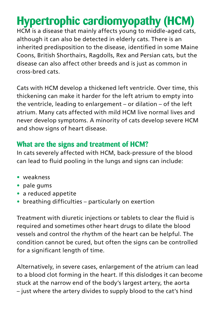## **Hypertrophic cardiomyopathy (HCM)**

HCM is a disease that mainly affects young to middle-aged cats, although it can also be detected in elderly cats. There is an inherited predisposition to the disease, identified in some Maine Coons, British Shorthairs, Ragdolls, Rex and Persian cats, but the disease can also affect other breeds and is just as common in cross-bred cats.

Cats with HCM develop a thickened left ventricle. Over time, this thickening can make it harder for the left atrium to empty into the ventricle, leading to enlargement – or dilation – of the left atrium. Many cats affected with mild HCM live normal lives and never develop symptoms. A minority of cats develop severe HCM and show signs of heart disease.

#### **What are the signs and treatment of HCM?**

In cats severely affected with HCM, back-pressure of the blood can lead to fluid pooling in the lungs and signs can include:

- **•** weakness
- **•** pale gums
- **•** a reduced appetite
- **•** breathing difficulties particularly on exertion

Treatment with diuretic injections or tablets to clear the fluid is required and sometimes other heart drugs to dilate the blood vessels and control the rhythm of the heart can be helpful. The condition cannot be cured, but often the signs can be controlled for a significant length of time.

Alternatively, in severe cases, enlargement of the atrium can lead to a blood clot forming in the heart. If this dislodges it can become stuck at the narrow end of the body's largest artery, the aorta – just where the artery divides to supply blood to the cat's hind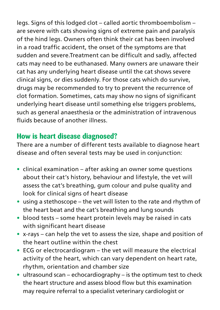legs. Signs of this lodged clot – called aortic thromboembolism – are severe with cats showing signs of extreme pain and paralysis of the hind legs. Owners often think their cat has been involved in a road traffic accident, the onset of the symptoms are that sudden and severe.Treatment can be difficult and sadly, affected cats may need to be euthanased. Many owners are unaware their cat has any underlying heart disease until the cat shows severe clinical signs, or dies suddenly. For those cats which do survive, drugs may be recommended to try to prevent the recurrence of clot formation. Sometimes, cats may show no signs of significant underlying heart disease until something else triggers problems, such as general anaesthesia or the administration of intravenous fluids because of another illness.

#### **How is heart disease diagnosed?**

There are a number of different tests available to diagnose heart disease and often several tests may be used in conjunction:

- **•** clinical examination after asking an owner some questions about their cat's history, behaviour and lifestyle, the vet will assess the cat's breathing, gum colour and pulse quality and look for clinical signs of heart disease
- **•** using a stethoscope the vet will listen to the rate and rhythm of the heart beat and the cat's breathing and lung sounds
- **•** blood tests some heart protein levels may be raised in cats with significant heart disease
- **•** x-rays can help the vet to assess the size, shape and position of the heart outline within the chest
- **•** ECG or electrocardiogram the vet will measure the electrical activity of the heart, which can vary dependent on heart rate, rhythm, orientation and chamber size
- **•** ultrasound scan echocardiography is the optimum test to check the heart structure and assess blood flow but this examination may require referral to a specialist veterinary cardiologist or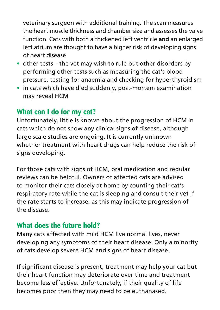veterinary surgeon with additional training. The scan measures the heart muscle thickness and chamber size and assesses the valve function. Cats with both a thickened left ventricle **and** an enlarged left atrium are thought to have a higher risk of developing signs of heart disease

- **•** other tests the vet may wish to rule out other disorders by performing other tests such as measuring the cat's blood pressure, testing for anaemia and checking for hyperthyroidism
- **•** in cats which have died suddenly, post-mortem examination may reveal HCM

#### **What can I do for my cat?**

Unfortunately, little is known about the progression of HCM in cats which do not show any clinical signs of disease, although large scale studies are ongoing. It is currently unknown whether treatment with heart drugs can help reduce the risk of signs developing.

For those cats with signs of HCM, oral medication and regular reviews can be helpful. Owners of affected cats are advised to monitor their cats closely at home by counting their cat's respiratory rate while the cat is sleeping and consult their vet if the rate starts to increase, as this may indicate progression of the disease.

#### **What does the future hold?**

Many cats affected with mild HCM live normal lives, never developing any symptoms of their heart disease. Only a minority of cats develop severe HCM and signs of heart disease.

If significant disease is present, treatment may help your cat but their heart function may deteriorate over time and treatment become less effective. Unfortunately, if their quality of life becomes poor then they may need to be euthanased.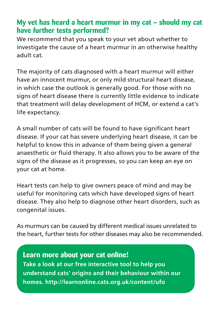#### **My vet has heard a heart murmur in my cat – should my cat have further tests performed?**

We recommend that you speak to your vet about whether to investigate the cause of a heart murmur in an otherwise healthy adult cat.

The majority of cats diagnosed with a heart murmur will either have an innocent murmur, or only mild structural heart disease, in which case the outlook is generally good. For those with no signs of heart disease there is currently little evidence to indicate that treatment will delay development of HCM, or extend a cat's life expectancy.

A small number of cats will be found to have significant heart disease. If your cat has severe underlying heart disease, it can be helpful to know this in advance of them being given a general anaesthetic or fluid therapy. It also allows you to be aware of the signs of the disease as it progresses, so you can keep an eye on your cat at home.

Heart tests can help to give owners peace of mind and may be useful for monitoring cats which have developed signs of heart disease. They also help to diagnose other heart disorders, such as congenital issues.

As murmurs can be caused by different medical issues unrelated to the heart, further tests for other diseases may also be recommended.

**Learn more about your cat online! Take a look at our free interactive tool to help you understand cats' origins and their behaviour within our homes. http://learnonline.cats.org.uk/content/ufo**